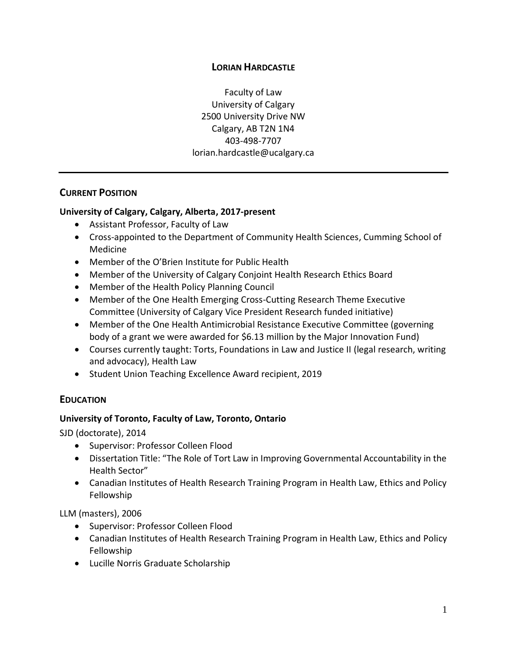### **LORIAN HARDCASTLE**

Faculty of Law University of Calgary 2500 University Drive NW Calgary, AB T2N 1N4 403-498-7707 lorian.hardcastle@ucalgary.ca

### **CURRENT POSITION**

### **University of Calgary, Calgary, Alberta, 2017-present**

- Assistant Professor, Faculty of Law
- Cross-appointed to the Department of Community Health Sciences, Cumming School of Medicine
- Member of the O'Brien Institute for Public Health
- Member of the University of Calgary Conjoint Health Research Ethics Board
- Member of the Health Policy Planning Council
- Member of the One Health Emerging Cross-Cutting Research Theme Executive Committee (University of Calgary Vice President Research funded initiative)
- Member of the One Health Antimicrobial Resistance Executive Committee (governing body of a grant we were awarded for \$6.13 million by the Major Innovation Fund)
- Courses currently taught: Torts, Foundations in Law and Justice II (legal research, writing and advocacy), Health Law
- Student Union Teaching Excellence Award recipient, 2019

# **EDUCATION**

### **University of Toronto, Faculty of Law, Toronto, Ontario**

SJD (doctorate), 2014

- Supervisor: Professor Colleen Flood
- Dissertation Title: "The Role of Tort Law in Improving Governmental Accountability in the Health Sector"
- Canadian Institutes of Health Research Training Program in Health Law, Ethics and Policy Fellowship

LLM (masters), 2006

- Supervisor: Professor Colleen Flood
- Canadian Institutes of Health Research Training Program in Health Law, Ethics and Policy Fellowship
- Lucille Norris Graduate Scholarship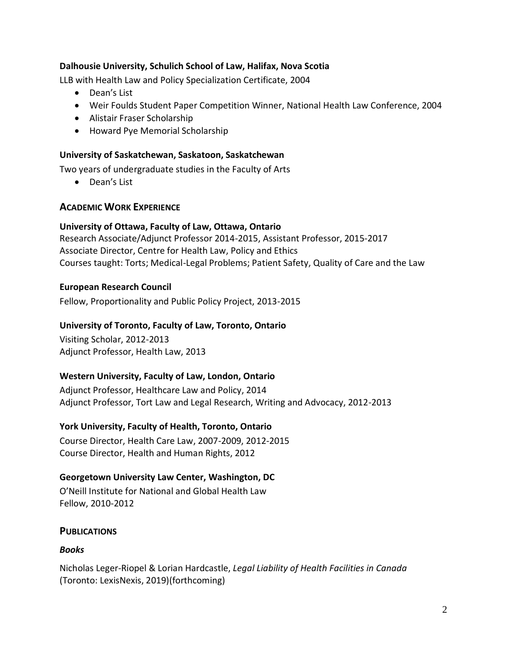#### **Dalhousie University, Schulich School of Law, Halifax, Nova Scotia**

LLB with Health Law and Policy Specialization Certificate, 2004

- Dean's List
- Weir Foulds Student Paper Competition Winner, National Health Law Conference, 2004
- Alistair Fraser Scholarship
- Howard Pye Memorial Scholarship

#### **University of Saskatchewan, Saskatoon, Saskatchewan**

Two years of undergraduate studies in the Faculty of Arts

• Dean's List

### **ACADEMIC WORK EXPERIENCE**

#### **University of Ottawa, Faculty of Law, Ottawa, Ontario**

Research Associate/Adjunct Professor 2014-2015, Assistant Professor, 2015-2017 Associate Director, Centre for Health Law, Policy and Ethics Courses taught: Torts; Medical-Legal Problems; Patient Safety, Quality of Care and the Law

### **European Research Council**

Fellow, Proportionality and Public Policy Project, 2013-2015

### **University of Toronto, Faculty of Law, Toronto, Ontario**

Visiting Scholar, 2012-2013 Adjunct Professor, Health Law, 2013

### **Western University, Faculty of Law, London, Ontario**

Adjunct Professor, Healthcare Law and Policy, 2014 Adjunct Professor, Tort Law and Legal Research, Writing and Advocacy, 2012-2013

### **York University, Faculty of Health, Toronto, Ontario**

Course Director, Health Care Law, 2007-2009, 2012-2015 Course Director, Health and Human Rights, 2012

### **Georgetown University Law Center, Washington, DC**

O'Neill Institute for National and Global Health Law Fellow, 2010-2012

### **PUBLICATIONS**

### *Books*

Nicholas Leger-Riopel & Lorian Hardcastle, *Legal Liability of Health Facilities in Canada*  (Toronto: LexisNexis, 2019)(forthcoming)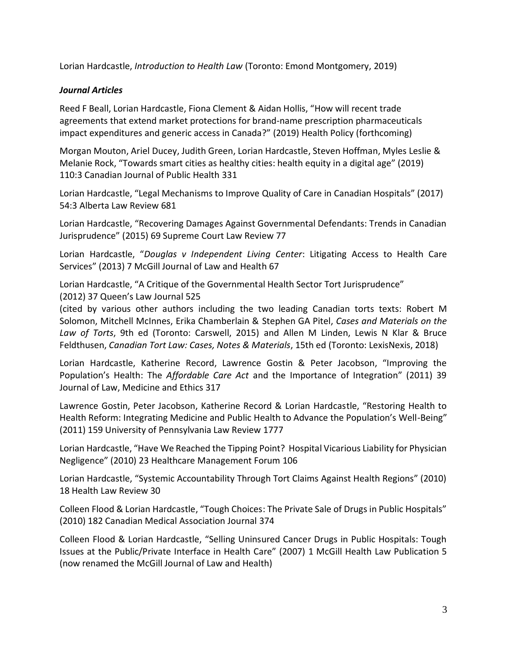Lorian Hardcastle, *Introduction to Health Law* (Toronto: Emond Montgomery, 2019)

### *Journal Articles*

Reed F Beall, Lorian Hardcastle, Fiona Clement & Aidan Hollis, "How will recent trade agreements that extend market protections for brand-name prescription pharmaceuticals impact expenditures and generic access in Canada?" (2019) Health Policy (forthcoming)

Morgan Mouton, Ariel Ducey, Judith Green, Lorian Hardcastle, Steven Hoffman, Myles Leslie & Melanie Rock, "Towards smart cities as healthy cities: health equity in a digital age" (2019) 110:3 Canadian Journal of Public Health 331

Lorian Hardcastle, "Legal Mechanisms to Improve Quality of Care in Canadian Hospitals" (2017) 54:3 Alberta Law Review 681

Lorian Hardcastle, "Recovering Damages Against Governmental Defendants: Trends in Canadian Jurisprudence" (2015) 69 Supreme Court Law Review 77

Lorian Hardcastle, "*Douglas v Independent Living Center*: Litigating Access to Health Care Services" (2013) 7 McGill Journal of Law and Health 67

Lorian Hardcastle, "A Critique of the Governmental Health Sector Tort Jurisprudence" (2012) 37 Queen's Law Journal 525

(cited by various other authors including the two leading Canadian torts texts: Robert M Solomon, Mitchell McInnes, Erika Chamberlain & Stephen GA Pitel, *Cases and Materials on the Law of Torts*, 9th ed (Toronto: Carswell, 2015) and Allen M Linden, Lewis N Klar & Bruce Feldthusen, *Canadian Tort Law: Cases, Notes & Materials*, 15th ed (Toronto: LexisNexis, 2018)

Lorian Hardcastle, Katherine Record, Lawrence Gostin & Peter Jacobson, "Improving the Population's Health: The *Affordable Care Act* and the Importance of Integration" (2011) 39 Journal of Law, Medicine and Ethics 317

Lawrence Gostin, Peter Jacobson, Katherine Record & Lorian Hardcastle, "Restoring Health to Health Reform: Integrating Medicine and Public Health to Advance the Population's Well-Being" (2011) 159 University of Pennsylvania Law Review 1777

Lorian Hardcastle, "Have We Reached the Tipping Point? Hospital Vicarious Liability for Physician Negligence" (2010) 23 Healthcare Management Forum 106

Lorian Hardcastle, "Systemic Accountability Through Tort Claims Against Health Regions" (2010) 18 Health Law Review 30

Colleen Flood & Lorian Hardcastle, "Tough Choices: The Private Sale of Drugs in Public Hospitals" (2010) 182 Canadian Medical Association Journal 374

Colleen Flood & Lorian Hardcastle, "Selling Uninsured Cancer Drugs in Public Hospitals: Tough Issues at the Public/Private Interface in Health Care" (2007) 1 McGill Health Law Publication 5 (now renamed the McGill Journal of Law and Health)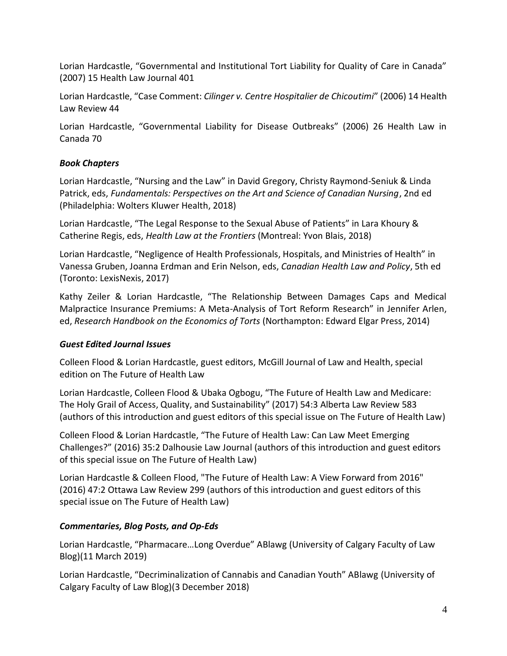Lorian Hardcastle, "Governmental and Institutional Tort Liability for Quality of Care in Canada" (2007) 15 Health Law Journal 401

Lorian Hardcastle, "Case Comment: *Cilinger v. Centre Hospitalier de Chicoutimi*" (2006) 14 Health Law Review 44

Lorian Hardcastle, "Governmental Liability for Disease Outbreaks" (2006) 26 Health Law in Canada 70

# *Book Chapters*

Lorian Hardcastle, "Nursing and the Law" in David Gregory, Christy Raymond-Seniuk & Linda Patrick, eds, *Fundamentals: Perspectives on the Art and Science of Canadian Nursing*, 2nd ed (Philadelphia: Wolters Kluwer Health, 2018)

Lorian Hardcastle, "The Legal Response to the Sexual Abuse of Patients" in Lara Khoury & Catherine Regis, eds, *Health Law at the Frontiers* (Montreal: Yvon Blais, 2018)

Lorian Hardcastle, "Negligence of Health Professionals, Hospitals, and Ministries of Health" in Vanessa Gruben, Joanna Erdman and Erin Nelson, eds, *Canadian Health Law and Policy*, 5th ed (Toronto: LexisNexis, 2017)

Kathy Zeiler & Lorian Hardcastle, "The Relationship Between Damages Caps and Medical Malpractice Insurance Premiums: A Meta-Analysis of Tort Reform Research" in Jennifer Arlen, ed, *Research Handbook on the Economics of Torts* (Northampton: Edward Elgar Press, 2014)

# *Guest Edited Journal Issues*

Colleen Flood & Lorian Hardcastle, guest editors, McGill Journal of Law and Health, special edition on The Future of Health Law

Lorian Hardcastle, Colleen Flood & Ubaka Ogbogu, "The Future of Health Law and Medicare: The Holy Grail of Access, Quality, and Sustainability" (2017) 54:3 Alberta Law Review 583 (authors of this introduction and guest editors of this special issue on The Future of Health Law)

Colleen Flood & Lorian Hardcastle, "The Future of Health Law: Can Law Meet Emerging Challenges?" (2016) 35:2 Dalhousie Law Journal (authors of this introduction and guest editors of this special issue on The Future of Health Law)

Lorian Hardcastle & Colleen Flood, "The Future of Health Law: A View Forward from 2016" (2016) 47:2 Ottawa Law Review 299 (authors of this introduction and guest editors of this special issue on The Future of Health Law)

# *Commentaries, Blog Posts, and Op-Eds*

Lorian Hardcastle, "Pharmacare…Long Overdue" ABlawg (University of Calgary Faculty of Law Blog)(11 March 2019)

Lorian Hardcastle, "Decriminalization of Cannabis and Canadian Youth" ABlawg (University of Calgary Faculty of Law Blog)(3 December 2018)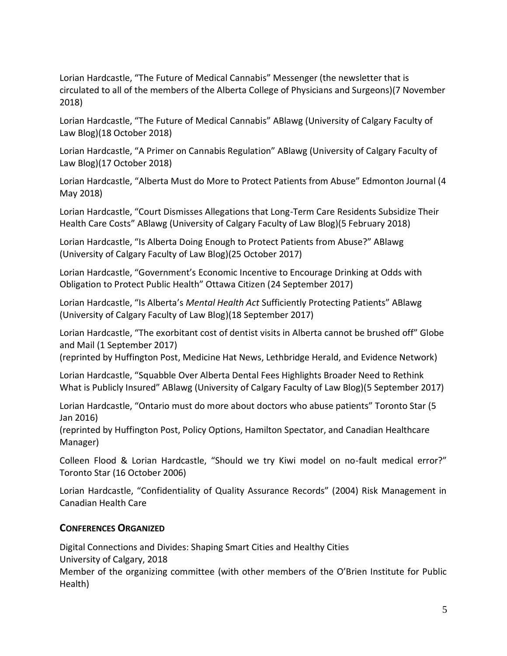Lorian Hardcastle, "The Future of Medical Cannabis" Messenger (the newsletter that is circulated to all of the members of the Alberta College of Physicians and Surgeons)(7 November 2018)

Lorian Hardcastle, "The Future of Medical Cannabis" ABlawg (University of Calgary Faculty of Law Blog)(18 October 2018)

Lorian Hardcastle, "A Primer on Cannabis Regulation" ABlawg (University of Calgary Faculty of Law Blog)(17 October 2018)

Lorian Hardcastle, "Alberta Must do More to Protect Patients from Abuse" Edmonton Journal (4 May 2018)

Lorian Hardcastle, "Court Dismisses Allegations that Long-Term Care Residents Subsidize Their Health Care Costs" ABlawg (University of Calgary Faculty of Law Blog)(5 February 2018)

Lorian Hardcastle, "Is Alberta Doing Enough to Protect Patients from Abuse?" ABlawg (University of Calgary Faculty of Law Blog)(25 October 2017)

Lorian Hardcastle, "Government's Economic Incentive to Encourage Drinking at Odds with Obligation to Protect Public Health" Ottawa Citizen (24 September 2017)

Lorian Hardcastle, "Is Alberta's *Mental Health Act* Sufficiently Protecting Patients" ABlawg (University of Calgary Faculty of Law Blog)(18 September 2017)

Lorian Hardcastle, "[The exorbitant cost of dentist visits in](https://www.google.com/url?rct=j&sa=t&url=https://www.theglobeandmail.com/opinion/the-exorbitant-cost-of-dentist-visits-in-alberta-cannot-be-brushed-off/article36153690/&ct=ga&cd=CAEYACoUMTc2NzMzNDg0MjY5Njg4NzM2NzEyGTRlMjBiZGJiOTYxYzQ2NTI6Y2E6ZW46Q0E&usg=AFQjCNE45YeLEbrw5ir4DuzrDpwp3RBwaw) Alberta cannot be brushed off" Globe and Mail (1 September 2017)

(reprinted by Huffington Post, Medicine Hat News, Lethbridge Herald, and Evidence Network)

Lorian Hardcastle, "Squabble Over Alberta Dental Fees Highlights Broader Need to Rethink What is Publicly Insured" ABlawg (University of Calgary Faculty of Law Blog)(5 September 2017)

Lorian Hardcastle, "Ontario must do more about doctors who abuse patients" Toronto Star (5 Jan 2016)

(reprinted by Huffington Post, Policy Options, Hamilton Spectator, and Canadian Healthcare Manager)

Colleen Flood & Lorian Hardcastle, "Should we try Kiwi model on no-fault medical error?" Toronto Star (16 October 2006)

Lorian Hardcastle, "Confidentiality of Quality Assurance Records" (2004) Risk Management in Canadian Health Care

# **CONFERENCES ORGANIZED**

Digital Connections and Divides: Shaping Smart Cities and Healthy Cities University of Calgary, 2018 Member of the organizing committee (with other members of the O'Brien Institute for Public Health)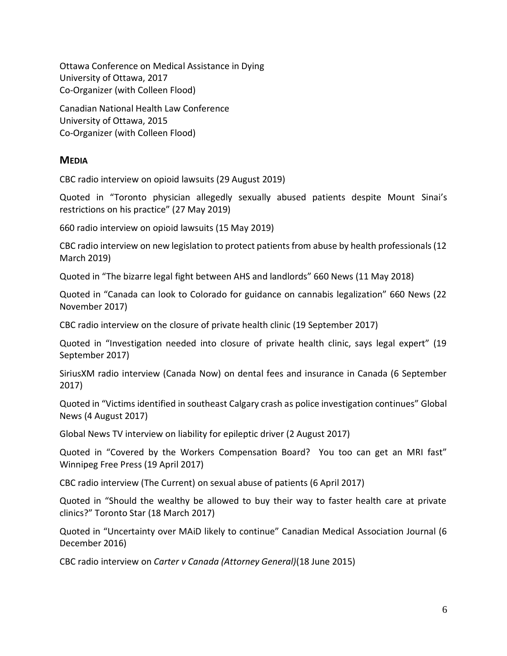Ottawa Conference on Medical Assistance in Dying University of Ottawa, 2017 Co-Organizer (with Colleen Flood)

Canadian National Health Law Conference University of Ottawa, 2015 Co-Organizer (with Colleen Flood)

### **MEDIA**

CBC radio interview on opioid lawsuits (29 August 2019)

Quoted in "Toronto physician allegedly sexually abused patients despite Mount Sinai's restrictions on his practice" (27 May 2019)

660 radio interview on opioid lawsuits (15 May 2019)

CBC radio interview on new legislation to protect patients from abuse by health professionals (12 March 2019)

Quoted in "The bizarre legal fight between AHS and landlords" 660 News (11 May 2018)

Quoted in "Canada can look to Colorado for guidance on cannabis legalization" 660 News (22 November 2017)

CBC radio interview on the closure of private health clinic (19 September 2017)

Quoted in "Investigation needed into closure of private health clinic, says legal expert" (19 September 2017)

SiriusXM radio interview (Canada Now) on dental fees and insurance in Canada (6 September 2017)

Quoted in "Victims identified in southeast Calgary crash as police investigation continues" Global News (4 August 2017)

Global News TV interview on liability for epileptic driver (2 August 2017)

Quoted in "Covered by the Workers Compensation Board? You too can get an MRI fast" Winnipeg Free Press (19 April 2017)

CBC radio interview (The Current) on sexual abuse of patients (6 April 2017)

Quoted in "Should the wealthy be allowed to buy their way to faster health care at private clinics?" Toronto Star (18 March 2017)

Quoted in "Uncertainty over MAiD likely to continue" Canadian Medical Association Journal (6 December 2016)

CBC radio interview on *Carter v Canada (Attorney General)*(18 June 2015)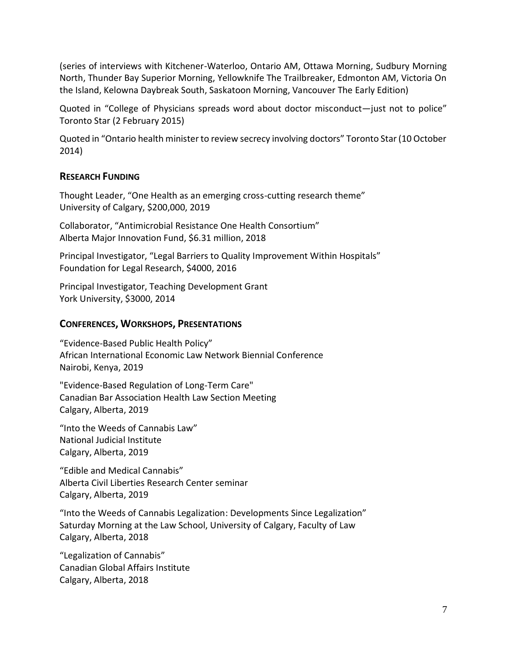(series of interviews with Kitchener-Waterloo, Ontario AM, Ottawa Morning, Sudbury Morning North, Thunder Bay Superior Morning, Yellowknife The Trailbreaker, Edmonton AM, Victoria On the Island, Kelowna Daybreak South, Saskatoon Morning, Vancouver The Early Edition)

Quoted in "College of Physicians spreads word about doctor misconduct—just not to police" Toronto Star (2 February 2015)

Quoted in "Ontario health minister to review secrecy involving doctors" Toronto Star (10 October 2014)

### **RESEARCH FUNDING**

Thought Leader, "One Health as an emerging cross-cutting research theme" University of Calgary, \$200,000, 2019

Collaborator, "Antimicrobial Resistance One Health Consortium" Alberta Major Innovation Fund, \$6.31 million, 2018

Principal Investigator, "Legal Barriers to Quality Improvement Within Hospitals" Foundation for Legal Research, \$4000, 2016

Principal Investigator, Teaching Development Grant York University, \$3000, 2014

#### **CONFERENCES, WORKSHOPS, PRESENTATIONS**

"Evidence-Based Public Health Policy" African International Economic Law Network Biennial Conference Nairobi, Kenya, 2019

"Evidence-Based Regulation of Long-Term Care" Canadian Bar Association Health Law Section Meeting Calgary, Alberta, 2019

"Into the Weeds of Cannabis Law" National Judicial Institute Calgary, Alberta, 2019

"Edible and Medical Cannabis" Alberta Civil Liberties Research Center seminar Calgary, Alberta, 2019

"Into the Weeds of Cannabis Legalization: Developments Since Legalization" Saturday Morning at the Law School, University of Calgary, Faculty of Law Calgary, Alberta, 2018

"Legalization of Cannabis" Canadian Global Affairs Institute Calgary, Alberta, 2018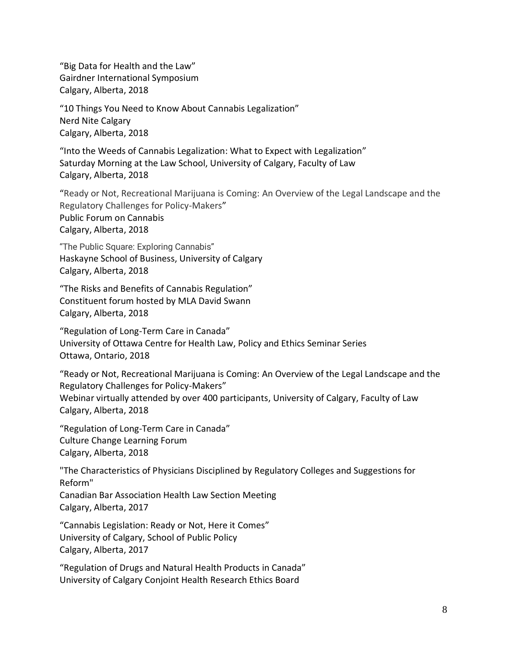"Big Data for Health and the Law" Gairdner International Symposium Calgary, Alberta, 2018

"10 Things You Need to Know About Cannabis Legalization" Nerd Nite Calgary Calgary, Alberta, 2018

"Into the Weeds of Cannabis Legalization: What to Expect with Legalization" Saturday Morning at the Law School, University of Calgary, Faculty of Law Calgary, Alberta, 2018

"Ready or Not, Recreational Marijuana is Coming: An Overview of the Legal Landscape and the Regulatory Challenges for Policy-Makers" Public Forum on Cannabis Calgary, Alberta, 2018

"The Public Square: Exploring Cannabis" Haskayne School of Business, University of Calgary Calgary, Alberta, 2018

"The Risks and Benefits of Cannabis Regulation" Constituent forum hosted by MLA David Swann Calgary, Alberta, 2018

"Regulation of Long-Term Care in Canada" University of Ottawa Centre for Health Law, Policy and Ethics Seminar Series Ottawa, Ontario, 2018

"Ready or Not, Recreational Marijuana is Coming: An Overview of the Legal Landscape and the Regulatory Challenges for Policy-Makers" Webinar virtually attended by over 400 participants, University of Calgary, Faculty of Law Calgary, Alberta, 2018

"Regulation of Long-Term Care in Canada" Culture Change Learning Forum Calgary, Alberta, 2018

"The Characteristics of Physicians Disciplined by Regulatory Colleges and Suggestions for Reform"

Canadian Bar Association Health Law Section Meeting Calgary, Alberta, 2017

"Cannabis Legislation: Ready or Not, Here it Comes" University of Calgary, School of Public Policy Calgary, Alberta, 2017

"Regulation of Drugs and Natural Health Products in Canada" University of Calgary Conjoint Health Research Ethics Board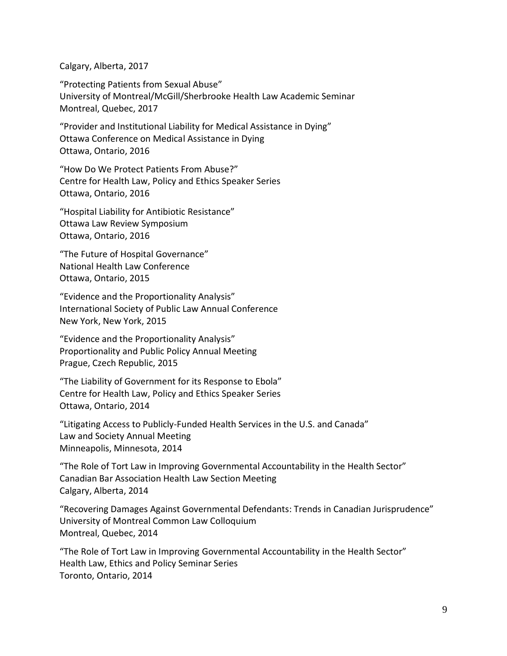Calgary, Alberta, 2017

"Protecting Patients from Sexual Abuse" University of Montreal/McGill/Sherbrooke Health Law Academic Seminar Montreal, Quebec, 2017

"Provider and Institutional Liability for Medical Assistance in Dying" Ottawa Conference on Medical Assistance in Dying Ottawa, Ontario, 2016

"How Do We Protect Patients From Abuse?" Centre for Health Law, Policy and Ethics Speaker Series Ottawa, Ontario, 2016

"Hospital Liability for Antibiotic Resistance" Ottawa Law Review Symposium Ottawa, Ontario, 2016

"The Future of Hospital Governance" National Health Law Conference Ottawa, Ontario, 2015

"Evidence and the Proportionality Analysis" International Society of Public Law Annual Conference New York, New York, 2015

"Evidence and the Proportionality Analysis" Proportionality and Public Policy Annual Meeting Prague, Czech Republic, 2015

"The Liability of Government for its Response to Ebola" Centre for Health Law, Policy and Ethics Speaker Series Ottawa, Ontario, 2014

"Litigating Access to Publicly-Funded Health Services in the U.S. and Canada" Law and Society Annual Meeting Minneapolis, Minnesota, 2014

"The Role of Tort Law in Improving Governmental Accountability in the Health Sector" Canadian Bar Association Health Law Section Meeting Calgary, Alberta, 2014

"Recovering Damages Against Governmental Defendants: Trends in Canadian Jurisprudence" University of Montreal Common Law Colloquium Montreal, Quebec, 2014

"The Role of Tort Law in Improving Governmental Accountability in the Health Sector" Health Law, Ethics and Policy Seminar Series Toronto, Ontario, 2014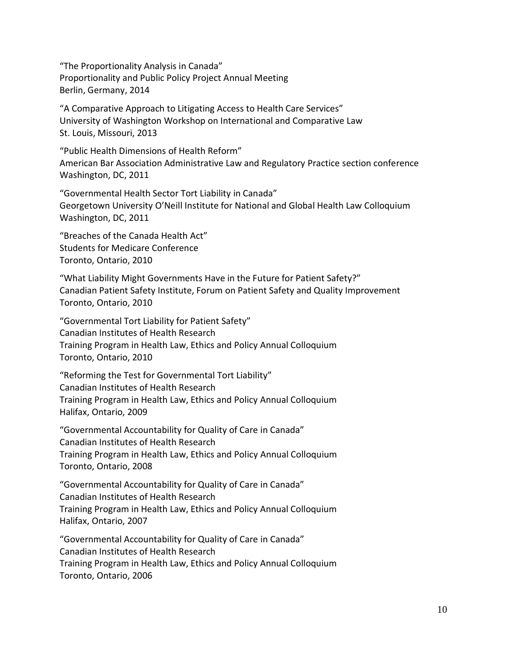"The Proportionality Analysis in Canada" Proportionality and Public Policy Project Annual Meeting Berlin, Germany, 2014

"A Comparative Approach to Litigating Access to Health Care Services" University of Washington Workshop on International and Comparative Law St. Louis, Missouri, 2013

"Public Health Dimensions of Health Reform" American Bar Association Administrative Law and Regulatory Practice section conference Washington, DC, 2011

"Governmental Health Sector Tort Liability in Canada" Georgetown University O'Neill Institute for National and Global Health Law Colloquium Washington, DC, 2011

"Breaches of the Canada Health Act" Students for Medicare Conference Toronto, Ontario, 2010

"What Liability Might Governments Have in the Future for Patient Safety?" Canadian Patient Safety Institute, Forum on Patient Safety and Quality Improvement Toronto, Ontario, 2010

"Governmental Tort Liability for Patient Safety" Canadian Institutes of Health Research Training Program in Health Law, Ethics and Policy Annual Colloquium Toronto, Ontario, 2010

"Reforming the Test for Governmental Tort Liability" Canadian Institutes of Health Research Training Program in Health Law, Ethics and Policy Annual Colloquium Halifax, Ontario, 2009

"Governmental Accountability for Quality of Care in Canada" Canadian Institutes of Health Research Training Program in Health Law, Ethics and Policy Annual Colloquium Toronto, Ontario, 2008

"Governmental Accountability for Quality of Care in Canada" Canadian Institutes of Health Research Training Program in Health Law, Ethics and Policy Annual Colloquium Halifax, Ontario, 2007

"Governmental Accountability for Quality of Care in Canada" Canadian Institutes of Health Research Training Program in Health Law, Ethics and Policy Annual Colloquium Toronto, Ontario, 2006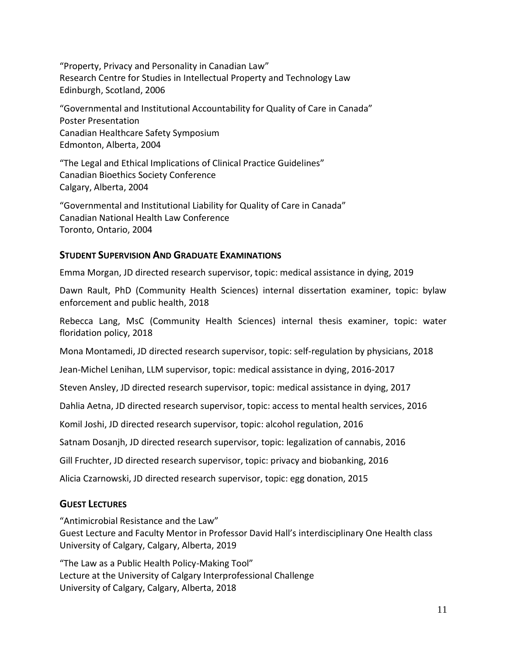"Property, Privacy and Personality in Canadian Law" Research Centre for Studies in Intellectual Property and Technology Law Edinburgh, Scotland, 2006

"Governmental and Institutional Accountability for Quality of Care in Canada" Poster Presentation Canadian Healthcare Safety Symposium Edmonton, Alberta, 2004

"The Legal and Ethical Implications of Clinical Practice Guidelines" Canadian Bioethics Society Conference Calgary, Alberta, 2004

"Governmental and Institutional Liability for Quality of Care in Canada" Canadian National Health Law Conference Toronto, Ontario, 2004

### **STUDENT SUPERVISION AND GRADUATE EXAMINATIONS**

Emma Morgan, JD directed research supervisor, topic: medical assistance in dying, 2019

Dawn Rault, PhD (Community Health Sciences) internal dissertation examiner, topic: bylaw enforcement and public health, 2018

Rebecca Lang, MsC (Community Health Sciences) internal thesis examiner, topic: water floridation policy, 2018

Mona Montamedi, JD directed research supervisor, topic: self-regulation by physicians, 2018

Jean-Michel Lenihan, LLM supervisor, topic: medical assistance in dying, 2016-2017

Steven Ansley, JD directed research supervisor, topic: medical assistance in dying, 2017

Dahlia Aetna, JD directed research supervisor, topic: access to mental health services, 2016

Komil Joshi, JD directed research supervisor, topic: alcohol regulation, 2016

Satnam Dosanjh, JD directed research supervisor, topic: legalization of cannabis, 2016

Gill Fruchter, JD directed research supervisor, topic: privacy and biobanking, 2016

Alicia Czarnowski, JD directed research supervisor, topic: egg donation, 2015

# **GUEST LECTURES**

"Antimicrobial Resistance and the Law"

Guest Lecture and Faculty Mentor in Professor David Hall's interdisciplinary One Health class University of Calgary, Calgary, Alberta, 2019

"The Law as a Public Health Policy-Making Tool" Lecture at the University of Calgary Interprofessional Challenge University of Calgary, Calgary, Alberta, 2018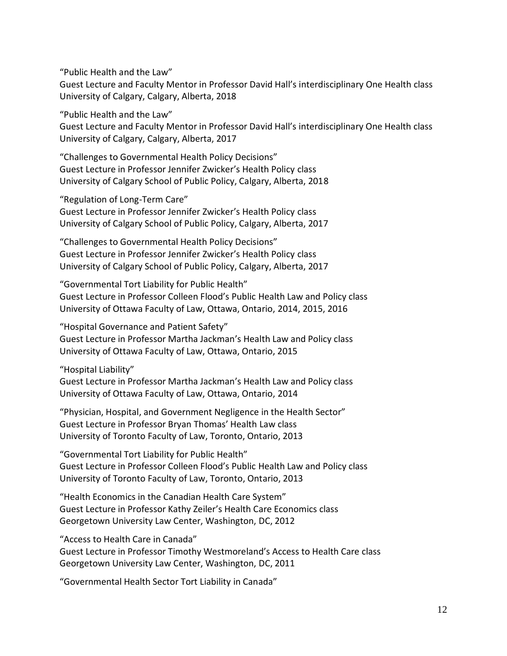"Public Health and the Law"

Guest Lecture and Faculty Mentor in Professor David Hall's interdisciplinary One Health class University of Calgary, Calgary, Alberta, 2018

"Public Health and the Law"

Guest Lecture and Faculty Mentor in Professor David Hall's interdisciplinary One Health class University of Calgary, Calgary, Alberta, 2017

"Challenges to Governmental Health Policy Decisions" Guest Lecture in Professor Jennifer Zwicker's Health Policy class University of Calgary School of Public Policy, Calgary, Alberta, 2018

"Regulation of Long-Term Care"

Guest Lecture in Professor Jennifer Zwicker's Health Policy class University of Calgary School of Public Policy, Calgary, Alberta, 2017

"Challenges to Governmental Health Policy Decisions" Guest Lecture in Professor Jennifer Zwicker's Health Policy class University of Calgary School of Public Policy, Calgary, Alberta, 2017

"Governmental Tort Liability for Public Health" Guest Lecture in Professor Colleen Flood's Public Health Law and Policy class University of Ottawa Faculty of Law, Ottawa, Ontario, 2014, 2015, 2016

"Hospital Governance and Patient Safety" Guest Lecture in Professor Martha Jackman's Health Law and Policy class University of Ottawa Faculty of Law, Ottawa, Ontario, 2015

"Hospital Liability"

Guest Lecture in Professor Martha Jackman's Health Law and Policy class University of Ottawa Faculty of Law, Ottawa, Ontario, 2014

"Physician, Hospital, and Government Negligence in the Health Sector" Guest Lecture in Professor Bryan Thomas' Health Law class University of Toronto Faculty of Law, Toronto, Ontario, 2013

"Governmental Tort Liability for Public Health" Guest Lecture in Professor Colleen Flood's Public Health Law and Policy class University of Toronto Faculty of Law, Toronto, Ontario, 2013

"Health Economics in the Canadian Health Care System" Guest Lecture in Professor Kathy Zeiler's Health Care Economics class Georgetown University Law Center, Washington, DC, 2012

"Access to Health Care in Canada"

Guest Lecture in Professor Timothy Westmoreland's Access to Health Care class Georgetown University Law Center, Washington, DC, 2011

"Governmental Health Sector Tort Liability in Canada"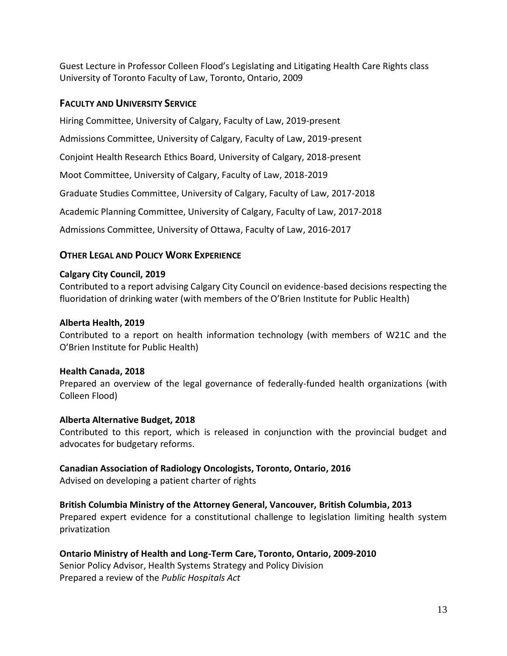Guest Lecture in Professor Colleen Flood's Legislating and Litigating Health Care Rights class University of Toronto Faculty of Law, Toronto, Ontario, 2009

### **FACULTY AND UNIVERSITY SERVICE**

Hiring Committee, University of Calgary, Faculty of Law, 2019-present

Admissions Committee, University of Calgary, Faculty of Law, 2019-present

Conjoint Health Research Ethics Board, University of Calgary, 2018-present

Moot Committee, University of Calgary, Faculty of Law, 2018-2019

Graduate Studies Committee, University of Calgary, Faculty of Law, 2017-2018

Academic Planning Committee, University of Calgary, Faculty of Law, 2017-2018

Admissions Committee, University of Ottawa, Faculty of Law, 2016-2017

# **OTHER LEGAL AND POLICY WORK EXPERIENCE**

### **Calgary City Council, 2019**

Contributed to a report advising Calgary City Council on evidence-based decisions respecting the fluoridation of drinking water (with members of the O'Brien Institute for Public Health)

### **Alberta Health, 2019**

Contributed to a report on health information technology (with members of W21C and the O'Brien Institute for Public Health)

### **Health Canada, 2018**

Prepared an overview of the legal governance of federally-funded health organizations (with Colleen Flood)

### **Alberta Alternative Budget, 2018**

Contributed to this report, which is released in conjunction with the provincial budget and advocates for budgetary reforms.

### **Canadian Association of Radiology Oncologists, Toronto, Ontario, 2016**

Advised on developing a patient charter of rights

# **British Columbia Ministry of the Attorney General, Vancouver, British Columbia, 2013**

Prepared expert evidence for a constitutional challenge to legislation limiting health system privatization

### **Ontario Ministry of Health and Long-Term Care, Toronto, Ontario, 2009-2010**

Senior Policy Advisor, Health Systems Strategy and Policy Division Prepared a review of the *Public Hospitals Act*